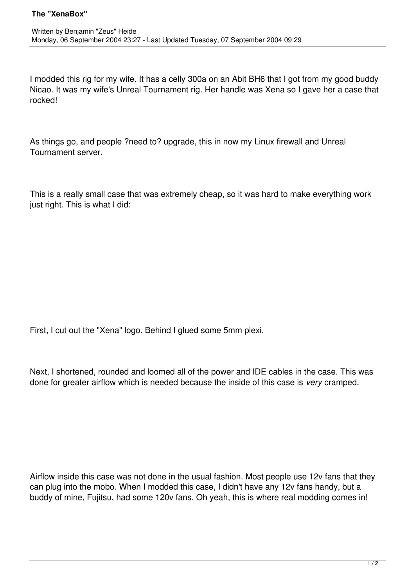I modded this rig for my wife. It has a celly 300a on an Abit BH6 that I got from my good buddy Nicao. It was my wife's Unreal Tournament rig. Her handle was Xena so I gave her a case that rocked!

As things go, and people ?need to? upgrade, this in now my Linux firewall and Unreal Tournament server.

This is a really small case that was extremely cheap, so it was hard to make everything work just right. This is what I did:

First, I cut out the "Xena" logo. Behind I glued some 5mm plexi.

Next, I shortened, rounded and loomed all of the power and IDE cables in the case. This was done for greater airflow which is needed because the inside of this case is *very* cramped.

Airflow inside this case was not done in the usual fashion. Most people use 12v fans that they can plug into the mobo. When I modded this case, I didn't have any 12v fans handy, but a buddy of mine, Fujitsu, had some 120v fans. Oh yeah, this is where real modding comes in!